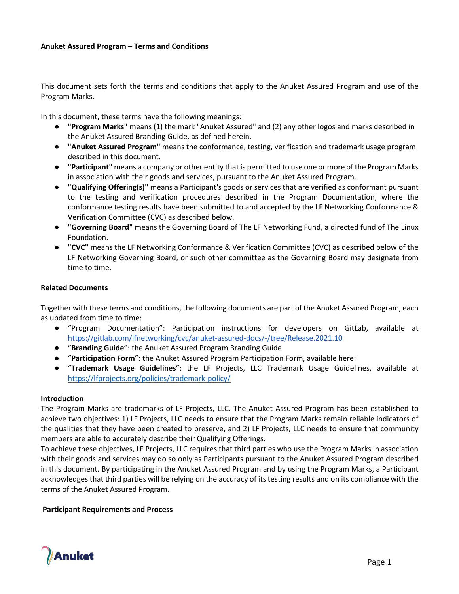#### **Anuket Assured Program – Terms and Conditions**

This document sets forth the terms and conditions that apply to the Anuket Assured Program and use of the Program Marks.

In this document, these terms have the following meanings:

- **"Program Marks"** means (1) the mark "Anuket Assured" and (2) any other logos and marks described in the Anuket Assured Branding Guide, as defined herein.
- **"Anuket Assured Program"** means the conformance, testing, verification and trademark usage program described in this document.
- **"Participant"** means a company or other entity that is permitted to use one or more of the Program Marks in association with their goods and services, pursuant to the Anuket Assured Program.
- **"Qualifying Offering(s)"** means a Participant's goods or services that are verified as conformant pursuant to the testing and verification procedures described in the Program Documentation, where the conformance testing results have been submitted to and accepted by the LF Networking Conformance & Verification Committee (CVC) as described below.
- **"Governing Board"** means the Governing Board of The LF Networking Fund, a directed fund of The Linux Foundation.
- **"CVC"** means the LF Networking Conformance & Verification Committee (CVC) as described below of the LF Networking Governing Board, or such other committee as the Governing Board may designate from time to time.

#### **Related Documents**

Together with these terms and conditions, the following documents are part of the Anuket Assured Program, each as updated from time to time:

- "Program Documentation": Participation instructions for developers on GitLab, available at https://gitlab.com/lfnetworking/cvc/anuket-assured-docs/-/tree/Release.2021.10
- "**Branding Guide**": the Anuket Assured Program Branding Guide
- "**Participation Form**": the Anuket Assured Program Participation Form, available here:
- "**Trademark Usage Guidelines**": the LF Projects, LLC Trademark Usage Guidelines, available at https://lfprojects.org/policies/trademark-policy/

#### **Introduction**

The Program Marks are trademarks of LF Projects, LLC. The Anuket Assured Program has been established to achieve two objectives: 1) LF Projects, LLC needs to ensure that the Program Marks remain reliable indicators of the qualities that they have been created to preserve, and 2) LF Projects, LLC needs to ensure that community members are able to accurately describe their Qualifying Offerings.

To achieve these objectives, LF Projects, LLC requires that third parties who use the Program Marks in association with their goods and services may do so only as Participants pursuant to the Anuket Assured Program described in this document. By participating in the Anuket Assured Program and by using the Program Marks, a Participant acknowledges that third parties will be relying on the accuracy of its testing results and on its compliance with the terms of the Anuket Assured Program.

#### **Participant Requirements and Process**

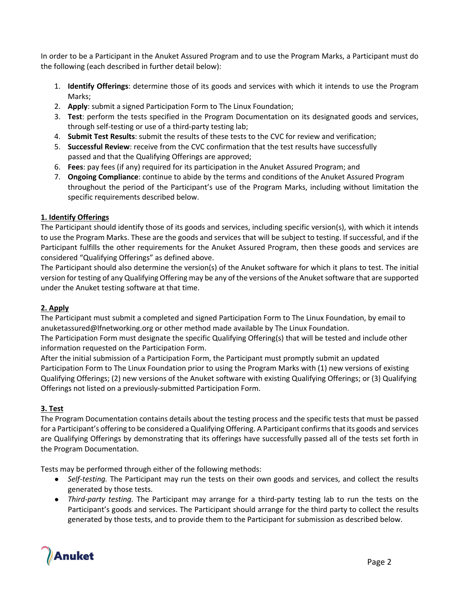In order to be a Participant in the Anuket Assured Program and to use the Program Marks, a Participant must do the following (each described in further detail below):

- 1. **Identify Offerings**: determine those of its goods and services with which it intends to use the Program Marks;
- 2. **Apply**: submit a signed Participation Form to The Linux Foundation;
- 3. **Test**: perform the tests specified in the Program Documentation on its designated goods and services, through self-testing or use of a third-party testing lab;
- 4. **Submit Test Results**: submit the results of these tests to the CVC for review and verification;
- 5. **Successful Review**: receive from the CVC confirmation that the test results have successfully passed and that the Qualifying Offerings are approved;
- 6. **Fees**: pay fees (if any) required for its participation in the Anuket Assured Program; and
- 7. **Ongoing Compliance**: continue to abide by the terms and conditions of the Anuket Assured Program throughout the period of the Participant's use of the Program Marks, including without limitation the specific requirements described below.

## **1. Identify Offerings**

The Participant should identify those of its goods and services, including specific version(s), with which it intends to use the Program Marks. These are the goods and services that will be subject to testing. If successful, and if the Participant fulfills the other requirements for the Anuket Assured Program, then these goods and services are considered "Qualifying Offerings" as defined above.

The Participant should also determine the version(s) of the Anuket software for which it plans to test. The initial version for testing of any Qualifying Offering may be any of the versions of the Anuket software that are supported under the Anuket testing software at that time.

# **2. Apply**

The Participant must submit a completed and signed Participation Form to The Linux Foundation, by email to anuketassured@lfnetworking.org or other method made available by The Linux Foundation.

The Participation Form must designate the specific Qualifying Offering(s) that will be tested and include other information requested on the Participation Form.

After the initial submission of a Participation Form, the Participant must promptly submit an updated Participation Form to The Linux Foundation prior to using the Program Marks with (1) new versions of existing Qualifying Offerings; (2) new versions of the Anuket software with existing Qualifying Offerings; or (3) Qualifying Offerings not listed on a previously-submitted Participation Form.

# **3. Test**

The Program Documentation contains details about the testing process and the specific tests that must be passed for a Participant's offering to be considered a Qualifying Offering. A Participant confirms that its goods and services are Qualifying Offerings by demonstrating that its offerings have successfully passed all of the tests set forth in the Program Documentation.

Tests may be performed through either of the following methods:

- *Self-testing.* The Participant may run the tests on their own goods and services, and collect the results generated by those tests.
- *Third-party testing.* The Participant may arrange for a third-party testing lab to run the tests on the Participant's goods and services. The Participant should arrange for the third party to collect the results generated by those tests, and to provide them to the Participant for submission as described below.

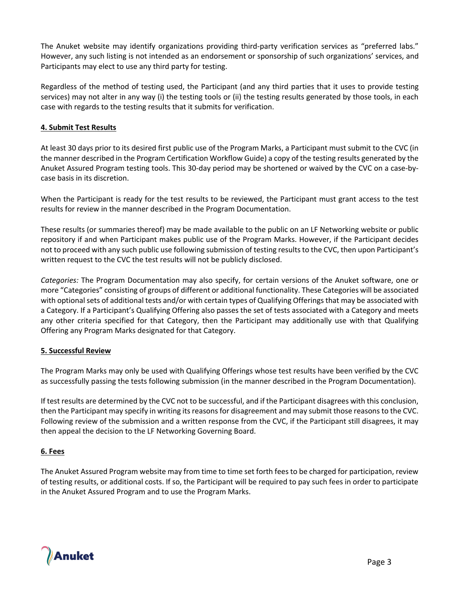The Anuket website may identify organizations providing third-party verification services as "preferred labs." However, any such listing is not intended as an endorsement or sponsorship of such organizations' services, and Participants may elect to use any third party for testing.

Regardless of the method of testing used, the Participant (and any third parties that it uses to provide testing services) may not alter in any way (i) the testing tools or (ii) the testing results generated by those tools, in each case with regards to the testing results that it submits for verification.

## **4. Submit Test Results**

At least 30 days prior to its desired first public use of the Program Marks, a Participant must submit to the CVC (in the manner described in the Program Certification Workflow Guide) a copy of the testing results generated by the Anuket Assured Program testing tools. This 30-day period may be shortened or waived by the CVC on a case-bycase basis in its discretion.

When the Participant is ready for the test results to be reviewed, the Participant must grant access to the test results for review in the manner described in the Program Documentation.

These results (or summaries thereof) may be made available to the public on an LF Networking website or public repository if and when Participant makes public use of the Program Marks. However, if the Participant decides not to proceed with any such public use following submission of testing results to the CVC, then upon Participant's written request to the CVC the test results will not be publicly disclosed.

*Categories:* The Program Documentation may also specify, for certain versions of the Anuket software, one or more "Categories" consisting of groups of different or additional functionality. These Categories will be associated with optional sets of additional tests and/or with certain types of Qualifying Offerings that may be associated with a Category. If a Participant's Qualifying Offering also passes the set of tests associated with a Category and meets any other criteria specified for that Category, then the Participant may additionally use with that Qualifying Offering any Program Marks designated for that Category.

# **5. Successful Review**

The Program Marks may only be used with Qualifying Offerings whose test results have been verified by the CVC as successfully passing the tests following submission (in the manner described in the Program Documentation).

If test results are determined by the CVC not to be successful, and if the Participant disagrees with this conclusion, then the Participant may specify in writing its reasons for disagreement and may submit those reasons to the CVC. Following review of the submission and a written response from the CVC, if the Participant still disagrees, it may then appeal the decision to the LF Networking Governing Board.

## **6. Fees**

The Anuket Assured Program website may from time to time set forth fees to be charged for participation, review of testing results, or additional costs. If so, the Participant will be required to pay such fees in order to participate in the Anuket Assured Program and to use the Program Marks.

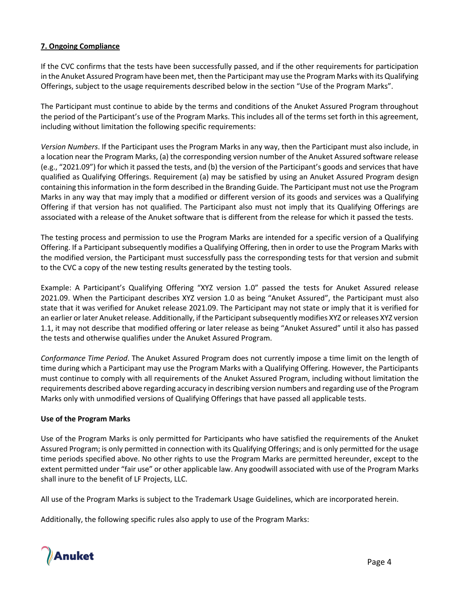## **7. Ongoing Compliance**

If the CVC confirms that the tests have been successfully passed, and if the other requirements for participation in the Anuket Assured Program have been met, then the Participant may use the Program Marks with its Qualifying Offerings, subject to the usage requirements described below in the section "Use of the Program Marks".

The Participant must continue to abide by the terms and conditions of the Anuket Assured Program throughout the period of the Participant's use of the Program Marks. This includes all of the terms set forth in this agreement, including without limitation the following specific requirements:

*Version Numbers*. If the Participant uses the Program Marks in any way, then the Participant must also include, in a location near the Program Marks, (a) the corresponding version number of the Anuket Assured software release (e.g., "2021.09") for which it passed the tests, and (b) the version of the Participant's goods and services that have qualified as Qualifying Offerings. Requirement (a) may be satisfied by using an Anuket Assured Program design containing this information in the form described in the Branding Guide. The Participant must not use the Program Marks in any way that may imply that a modified or different version of its goods and services was a Qualifying Offering if that version has not qualified. The Participant also must not imply that its Qualifying Offerings are associated with a release of the Anuket software that is different from the release for which it passed the tests.

The testing process and permission to use the Program Marks are intended for a specific version of a Qualifying Offering. If a Participant subsequently modifies a Qualifying Offering, then in order to use the Program Marks with the modified version, the Participant must successfully pass the corresponding tests for that version and submit to the CVC a copy of the new testing results generated by the testing tools.

Example: A Participant's Qualifying Offering "XYZ version 1.0" passed the tests for Anuket Assured release 2021.09. When the Participant describes XYZ version 1.0 as being "Anuket Assured", the Participant must also state that it was verified for Anuket release 2021.09. The Participant may not state or imply that it is verified for an earlier or later Anuket release. Additionally, if the Participant subsequently modifies XYZ or releases XYZ version 1.1, it may not describe that modified offering or later release as being "Anuket Assured" until it also has passed the tests and otherwise qualifies under the Anuket Assured Program.

*Conformance Time Period*. The Anuket Assured Program does not currently impose a time limit on the length of time during which a Participant may use the Program Marks with a Qualifying Offering. However, the Participants must continue to comply with all requirements of the Anuket Assured Program, including without limitation the requirements described above regarding accuracy in describing version numbers and regarding use of the Program Marks only with unmodified versions of Qualifying Offerings that have passed all applicable tests.

# **Use of the Program Marks**

Use of the Program Marks is only permitted for Participants who have satisfied the requirements of the Anuket Assured Program; is only permitted in connection with its Qualifying Offerings; and is only permitted for the usage time periods specified above. No other rights to use the Program Marks are permitted hereunder, except to the extent permitted under "fair use" or other applicable law. Any goodwill associated with use of the Program Marks shall inure to the benefit of LF Projects, LLC.

All use of the Program Marks is subject to the Trademark Usage Guidelines, which are incorporated herein.

Additionally, the following specific rules also apply to use of the Program Marks:

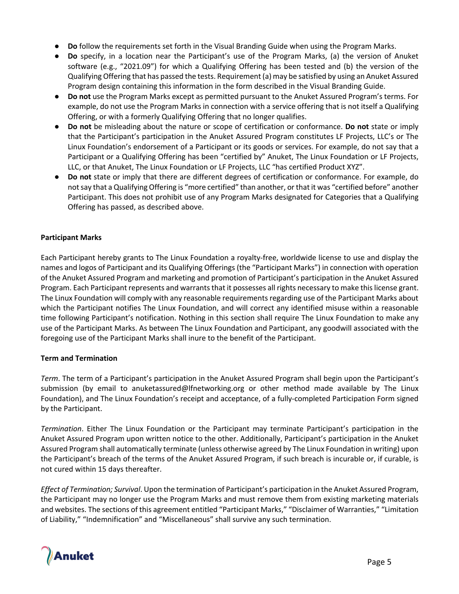- **Do** follow the requirements set forth in the Visual Branding Guide when using the Program Marks.
- **Do** specify, in a location near the Participant's use of the Program Marks, (a) the version of Anuket software (e.g., "2021.09") for which a Qualifying Offering has been tested and (b) the version of the Qualifying Offering that has passed the tests. Requirement (a) may be satisfied by using an Anuket Assured Program design containing this information in the form described in the Visual Branding Guide.
- **Do not** use the Program Marks except as permitted pursuant to the Anuket Assured Program's terms. For example, do not use the Program Marks in connection with a service offering that is not itself a Qualifying Offering, or with a formerly Qualifying Offering that no longer qualifies.
- **Do not** be misleading about the nature or scope of certification or conformance. **Do not** state or imply that the Participant's participation in the Anuket Assured Program constitutes LF Projects, LLC's or The Linux Foundation's endorsement of a Participant or its goods or services. For example, do not say that a Participant or a Qualifying Offering has been "certified by" Anuket, The Linux Foundation or LF Projects, LLC, or that Anuket, The Linux Foundation or LF Projects, LLC "has certified Product XYZ".
- **Do not** state or imply that there are different degrees of certification or conformance. For example, do not say that a Qualifying Offering is "more certified" than another, or that it was "certified before" another Participant. This does not prohibit use of any Program Marks designated for Categories that a Qualifying Offering has passed, as described above.

## **Participant Marks**

Each Participant hereby grants to The Linux Foundation a royalty-free, worldwide license to use and display the names and logos of Participant and its Qualifying Offerings (the "Participant Marks") in connection with operation of the Anuket Assured Program and marketing and promotion of Participant's participation in the Anuket Assured Program. Each Participant represents and warrants that it possesses all rights necessary to make this license grant. The Linux Foundation will comply with any reasonable requirements regarding use of the Participant Marks about which the Participant notifies The Linux Foundation, and will correct any identified misuse within a reasonable time following Participant's notification. Nothing in this section shall require The Linux Foundation to make any use of the Participant Marks. As between The Linux Foundation and Participant, any goodwill associated with the foregoing use of the Participant Marks shall inure to the benefit of the Participant.

## **Term and Termination**

*Term*. The term of a Participant's participation in the Anuket Assured Program shall begin upon the Participant's submission (by email to anuketassured@lfnetworking.org or other method made available by The Linux Foundation), and The Linux Foundation's receipt and acceptance, of a fully-completed Participation Form signed by the Participant.

*Termination*. Either The Linux Foundation or the Participant may terminate Participant's participation in the Anuket Assured Program upon written notice to the other. Additionally, Participant's participation in the Anuket Assured Program shall automatically terminate (unless otherwise agreed by The Linux Foundation in writing) upon the Participant's breach of the terms of the Anuket Assured Program, if such breach is incurable or, if curable, is not cured within 15 days thereafter.

*Effect of Termination; Survival*. Upon the termination of Participant's participation in the Anuket Assured Program, the Participant may no longer use the Program Marks and must remove them from existing marketing materials and websites. The sections of this agreement entitled "Participant Marks," "Disclaimer of Warranties," "Limitation of Liability," "Indemnification" and "Miscellaneous" shall survive any such termination.

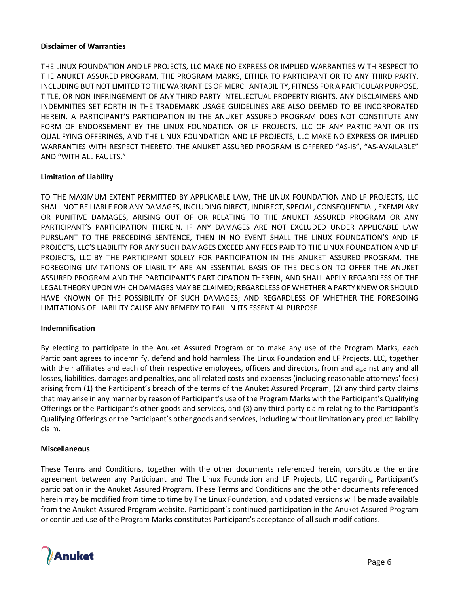#### **Disclaimer of Warranties**

THE LINUX FOUNDATION AND LF PROJECTS, LLC MAKE NO EXPRESS OR IMPLIED WARRANTIES WITH RESPECT TO THE ANUKET ASSURED PROGRAM, THE PROGRAM MARKS, EITHER TO PARTICIPANT OR TO ANY THIRD PARTY, INCLUDING BUT NOT LIMITED TO THE WARRANTIES OF MERCHANTABILITY, FITNESS FOR A PARTICULAR PURPOSE, TITLE, OR NON-INFRINGEMENT OF ANY THIRD PARTY INTELLECTUAL PROPERTY RIGHTS. ANY DISCLAIMERS AND INDEMNITIES SET FORTH IN THE TRADEMARK USAGE GUIDELINES ARE ALSO DEEMED TO BE INCORPORATED HEREIN. A PARTICIPANT'S PARTICIPATION IN THE ANUKET ASSURED PROGRAM DOES NOT CONSTITUTE ANY FORM OF ENDORSEMENT BY THE LINUX FOUNDATION OR LF PROJECTS, LLC OF ANY PARTICIPANT OR ITS QUALIFYING OFFERINGS, AND THE LINUX FOUNDATION AND LF PROJECTS, LLC MAKE NO EXPRESS OR IMPLIED WARRANTIES WITH RESPECT THERETO. THE ANUKET ASSURED PROGRAM IS OFFERED "AS-IS", "AS-AVAILABLE" AND "WITH ALL FAULTS."

## **Limitation of Liability**

TO THE MAXIMUM EXTENT PERMITTED BY APPLICABLE LAW, THE LINUX FOUNDATION AND LF PROJECTS, LLC SHALL NOT BE LIABLE FOR ANY DAMAGES, INCLUDING DIRECT, INDIRECT, SPECIAL, CONSEQUENTIAL, EXEMPLARY OR PUNITIVE DAMAGES, ARISING OUT OF OR RELATING TO THE ANUKET ASSURED PROGRAM OR ANY PARTICIPANT'S PARTICIPATION THEREIN. IF ANY DAMAGES ARE NOT EXCLUDED UNDER APPLICABLE LAW PURSUANT TO THE PRECEDING SENTENCE, THEN IN NO EVENT SHALL THE LINUX FOUNDATION'S AND LF PROJECTS, LLC'S LIABILITY FOR ANY SUCH DAMAGES EXCEED ANY FEES PAID TO THE LINUX FOUNDATION AND LF PROJECTS, LLC BY THE PARTICIPANT SOLELY FOR PARTICIPATION IN THE ANUKET ASSURED PROGRAM. THE FOREGOING LIMITATIONS OF LIABILITY ARE AN ESSENTIAL BASIS OF THE DECISION TO OFFER THE ANUKET ASSURED PROGRAM AND THE PARTICIPANT'S PARTICIPATION THEREIN, AND SHALL APPLY REGARDLESS OF THE LEGAL THEORY UPON WHICH DAMAGES MAY BE CLAIMED; REGARDLESS OF WHETHER A PARTY KNEW OR SHOULD HAVE KNOWN OF THE POSSIBILITY OF SUCH DAMAGES; AND REGARDLESS OF WHETHER THE FOREGOING LIMITATIONS OF LIABILITY CAUSE ANY REMEDY TO FAIL IN ITS ESSENTIAL PURPOSE.

#### **Indemnification**

By electing to participate in the Anuket Assured Program or to make any use of the Program Marks, each Participant agrees to indemnify, defend and hold harmless The Linux Foundation and LF Projects, LLC, together with their affiliates and each of their respective employees, officers and directors, from and against any and all losses, liabilities, damages and penalties, and all related costs and expenses (including reasonable attorneys' fees) arising from (1) the Participant's breach of the terms of the Anuket Assured Program, (2) any third party claims that may arise in any manner by reason of Participant's use of the Program Marks with the Participant's Qualifying Offerings or the Participant's other goods and services, and (3) any third-party claim relating to the Participant's Qualifying Offerings or the Participant's other goods and services, including without limitation any product liability claim.

#### **Miscellaneous**

These Terms and Conditions, together with the other documents referenced herein, constitute the entire agreement between any Participant and The Linux Foundation and LF Projects, LLC regarding Participant's participation in the Anuket Assured Program. These Terms and Conditions and the other documents referenced herein may be modified from time to time by The Linux Foundation, and updated versions will be made available from the Anuket Assured Program website. Participant's continued participation in the Anuket Assured Program or continued use of the Program Marks constitutes Participant's acceptance of all such modifications.